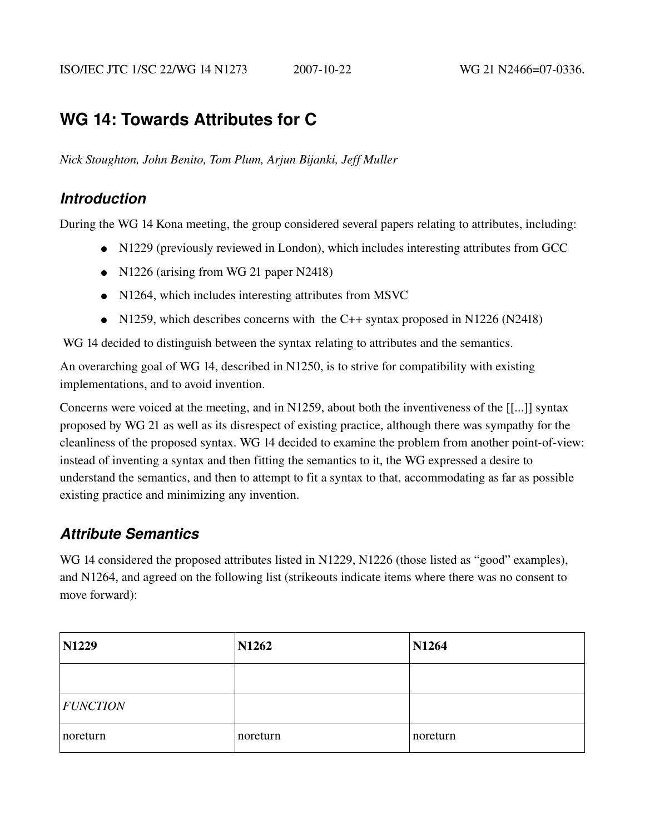# **WG 14: Towards Attributes for C**

*Nick Stoughton, John Benito, Tom Plum, Arjun Bijanki, Jeff Muller*

## *Introduction*

During the WG 14 Kona meeting, the group considered several papers relating to attributes, including:

- N1229 (previously reviewed in London), which includes interesting attributes from GCC
- N1226 (arising from WG 21 paper N2418)
- N1264, which includes interesting attributes from MSVC
- N1259, which describes concerns with the C++ syntax proposed in N1226 (N2418)

WG 14 decided to distinguish between the syntax relating to attributes and the semantics.

An overarching goal of WG 14, described in N1250, is to strive for compatibility with existing implementations, and to avoid invention.

Concerns were voiced at the meeting, and in N1259, about both the inventiveness of the [[...]] syntax proposed by WG 21 as well as its disrespect of existing practice, although there was sympathy for the cleanliness of the proposed syntax. WG 14 decided to examine the problem from another point-of-view: instead of inventing a syntax and then fitting the semantics to it, the WG expressed a desire to understand the semantics, and then to attempt to fit a syntax to that, accommodating as far as possible existing practice and minimizing any invention.

## *Attribute Semantics*

WG 14 considered the proposed attributes listed in N1229, N1226 (those listed as "good" examples), and N1264, and agreed on the following list (strikeouts indicate items where there was no consent to move forward):

| <b>N1229</b>    | N1262    | <b>N1264</b> |
|-----------------|----------|--------------|
|                 |          |              |
| <b>FUNCTION</b> |          |              |
| noreturn        | noreturn | noreturn     |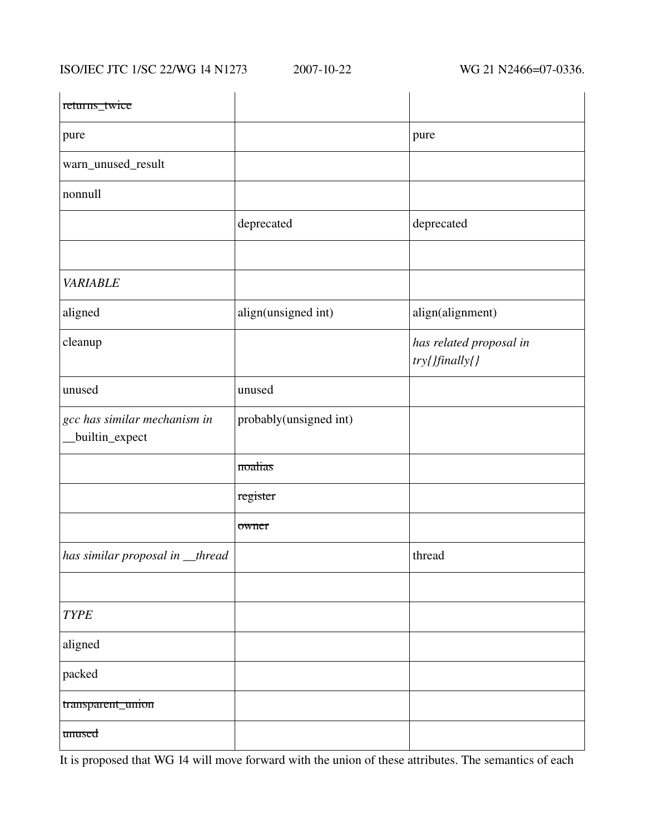ISO/IEC JTC 1/SC 22/WG 14 N1273 2007-10-22 WG 21 N2466=07-0336.

| returns_twice                                  |                        |                                           |
|------------------------------------------------|------------------------|-------------------------------------------|
| pure                                           |                        | pure                                      |
| warn_unused_result                             |                        |                                           |
| nonnull                                        |                        |                                           |
|                                                | deprecated             | deprecated                                |
|                                                |                        |                                           |
| <b>VARIABLE</b>                                |                        |                                           |
| aligned                                        | align(unsigned int)    | align(alignment)                          |
| cleanup                                        |                        | has related proposal in<br>try{}finally{} |
| unused                                         | unused                 |                                           |
| gcc has similar mechanism in<br>builtin_expect | probably(unsigned int) |                                           |
|                                                | noalias                |                                           |
|                                                | register               |                                           |
|                                                | owner                  |                                           |
| has similar proposal in _thread                |                        | thread                                    |
|                                                |                        |                                           |
| <b>TYPE</b>                                    |                        |                                           |
| aligned                                        |                        |                                           |
| packed                                         |                        |                                           |
| transparent_union                              |                        |                                           |
| unused                                         |                        |                                           |

It is proposed that WG 14 will move forward with the union of these attributes. The semantics of each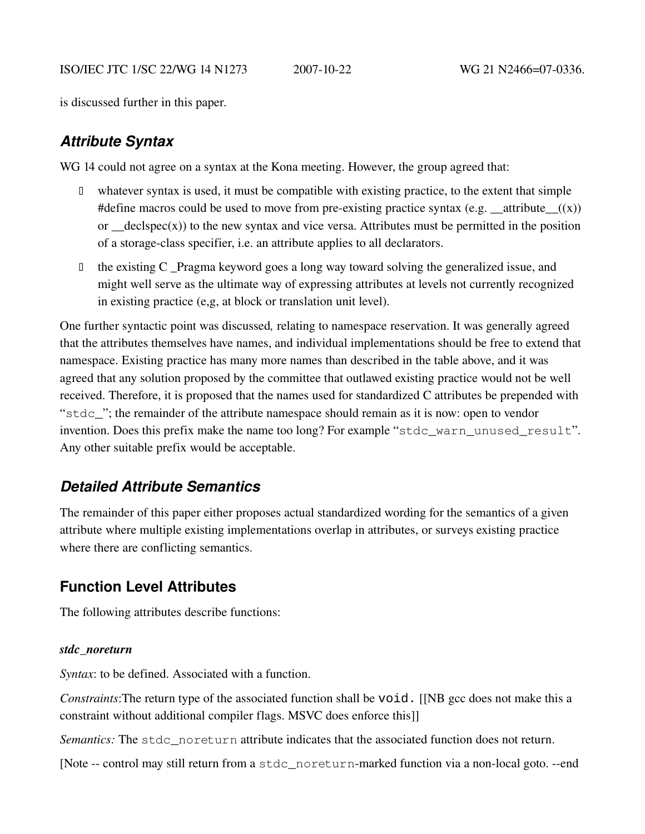is discussed further in this paper.

## *Attribute Syntax*

WG 14 could not agree on a syntax at the Kona meeting. However, the group agreed that:

- whatever syntax is used, it must be compatible with existing practice, to the extent that simple #define macros could be used to move from pre-existing practice syntax (e.g.  $\text{\_}atribute\_\text{\_}((x))$ ) or  $\text{ }$  declspec(x)) to the new syntax and vice versa. Attributes must be permitted in the position of a storage-class specifier, i.e. an attribute applies to all declarators.
- $\Box$  the existing C Pragma keyword goes a long way toward solving the generalized issue, and might well serve as the ultimate way of expressing attributes at levels not currently recognized in existing practice (e,g, at block or translation unit level).

One further syntactic point was discussed*,* relating to namespace reservation. It was generally agreed that the attributes themselves have names, and individual implementations should be free to extend that namespace. Existing practice has many more names than described in the table above, and it was agreed that any solution proposed by the committee that outlawed existing practice would not be well received. Therefore, it is proposed that the names used for standardized C attributes be prepended with "stdc\_"; the remainder of the attribute namespace should remain as it is now: open to vendor invention. Does this prefix make the name too long? For example "stdc\_warn\_unused\_result". Any other suitable prefix would be acceptable.

## *Detailed Attribute Semantics*

The remainder of this paper either proposes actual standardized wording for the semantics of a given attribute where multiple existing implementations overlap in attributes, or surveys existing practice where there are conflicting semantics.

## **Function Level Attributes**

The following attributes describe functions:

## *stdc\_noreturn*

*Syntax*: to be defined. Associated with a function.

*Constraints*: The return type of the associated function shall be void. [[NB gcc does not make this a constraint without additional compiler flags. MSVC does enforce this]]

*Semantics:* The stdc\_noreturn attribute indicates that the associated function does not return.

[Note -- control may still return from a stdc\_noreturn-marked function via a non-local goto. --end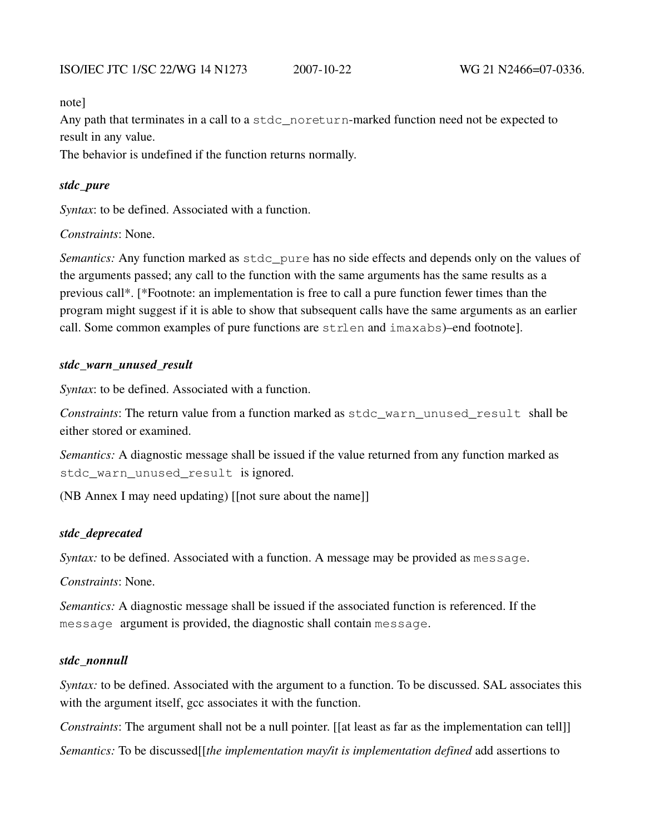note]

Any path that terminates in a call to a  $\text{stdc\_noreturn-market}$  function need not be expected to result in any value.

The behavior is undefined if the function returns normally.

#### *stdc\_pure*

*Syntax*: to be defined. Associated with a function.

*Constraints*: None.

*Semantics:* Any function marked as stdc\_pure has no side effects and depends only on the values of the arguments passed; any call to the function with the same arguments has the same results as a previous call\*. [\*Footnote: an implementation is free to call a pure function fewer times than the program might suggest if it is able to show that subsequent calls have the same arguments as an earlier call. Some common examples of pure functions are strlen and imaxabs)–end footnote].

#### *stdc\_warn\_unused\_result*

*Syntax*: to be defined. Associated with a function.

*Constraints*: The return value from a function marked as stdc\_warn\_unused\_result shall be either stored or examined.

*Semantics:* A diagnostic message shall be issued if the value returned from any function marked as stdc warn unused result is ignored.

(NB Annex I may need updating) [[not sure about the name]]

#### *stdc\_deprecated*

*Syntax:* to be defined. Associated with a function. A message may be provided as message.

*Constraints*: None.

*Semantics:* A diagnostic message shall be issued if the associated function is referenced. If the message argument is provided, the diagnostic shall contain message.

#### *stdc\_nonnull*

*Syntax:* to be defined. Associated with the argument to a function. To be discussed. SAL associates this with the argument itself, gcc associates it with the function.

*Constraints*: The argument shall not be a null pointer. [[at least as far as the implementation can tell]]

*Semantics:* To be discussed[[*the implementation may/it is implementation defined* add assertions to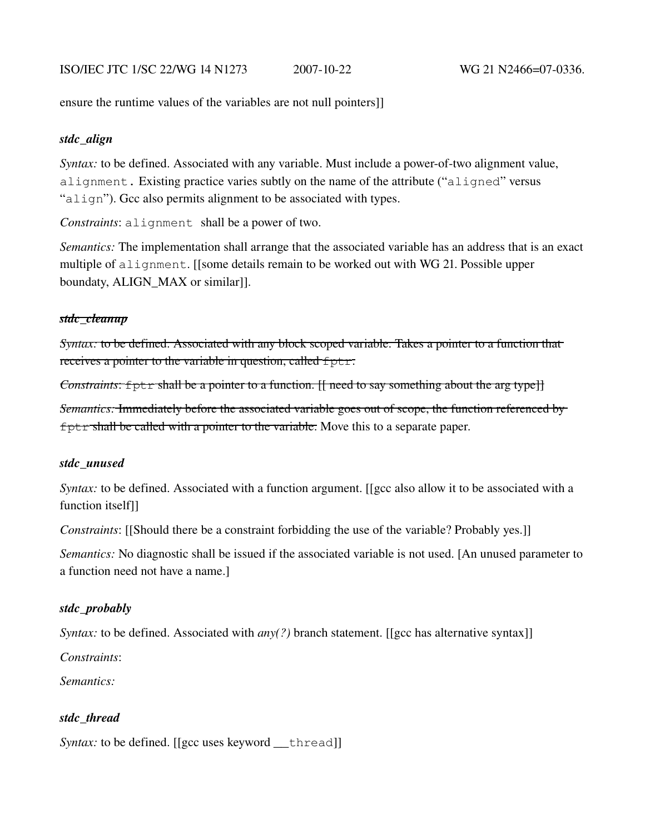ensure the runtime values of the variables are not null pointers]]

### *stdc\_align*

*Syntax:* to be defined. Associated with any variable. Must include a power-of-two alignment value, alignment. Existing practice varies subtly on the name of the attribute ("aligned" versus "align"). Gcc also permits alignment to be associated with types.

*Constraints*: alignment shall be a power of two.

*Semantics:* The implementation shall arrange that the associated variable has an address that is an exact multiple of alignment. [[some details remain to be worked out with WG 21. Possible upper boundaty, ALIGN\_MAX or similar]].

### *stdc\_cleanup*

*Syntax:* to be defined. Associated with any block scoped variable. Takes a pointer to a function that receives a pointer to the variable in question, called  $f$ ptr.

*Constraints*: fptr shall be a pointer to a function. [[ need to say something about the arg type]]

*Semantics:* Immediately before the associated variable goes out of scope, the function referenced by fptr shall be called with a pointer to the variable. Move this to a separate paper.

## *stdc\_unused*

*Syntax:* to be defined. Associated with a function argument. [[gcc also allow it to be associated with a function itself]]

*Constraints*: [[Should there be a constraint forbidding the use of the variable? Probably yes.]]

*Semantics:* No diagnostic shall be issued if the associated variable is not used. [An unused parameter to a function need not have a name.]

## *stdc\_probably*

*Syntax:* to be defined. Associated with *any(?)* branch statement. [[gcc has alternative syntax]]

*Constraints*:

*Semantics:*

## *stdc\_thread*

*Syntax:* to be defined. [[gcc uses keyword \_\_thread]]